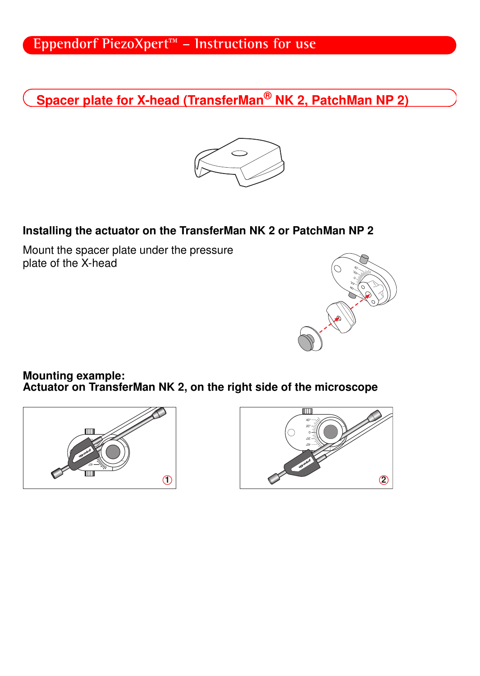## **Eppendorf PiezoXpert™ – Instructions for use**

Spacer plate for X-head (TransferMan<sup>®</sup> NK 2, PatchMan NP 2)



## Installing the actuator on the TransferMan NK 2 or PatchMan NP 2

Mount the spacer plate under the pressure plate of the X-head



Mounting example: Actuator on TransferMan NK 2, on the right side of the microscope